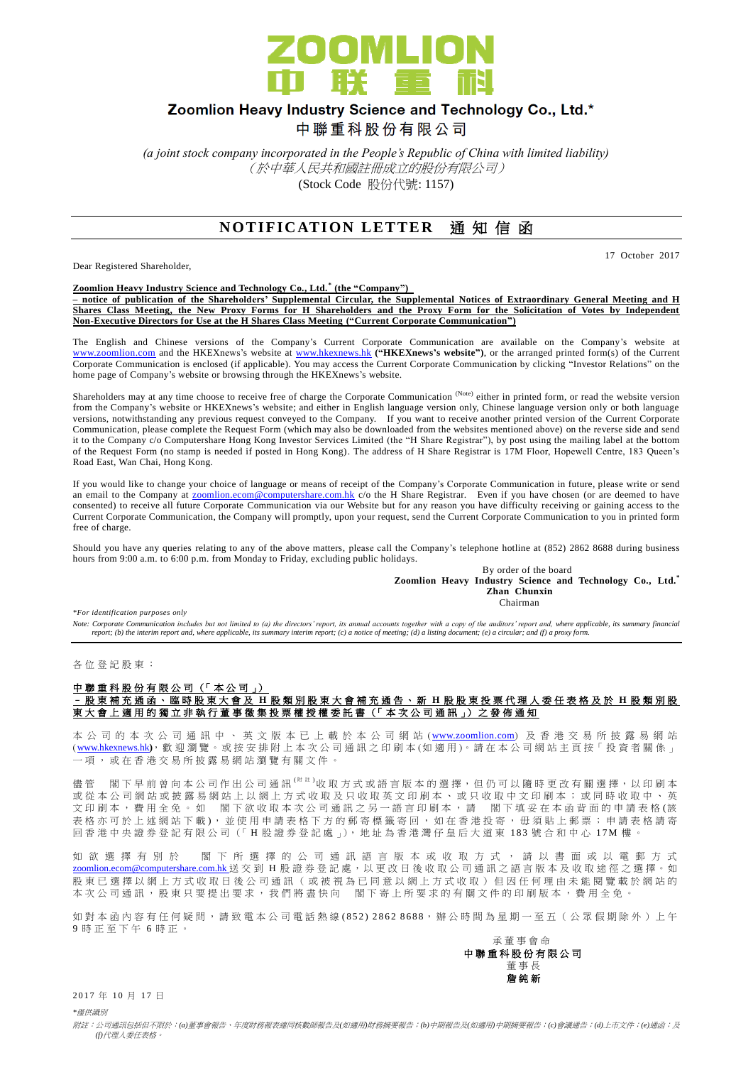

## Zoomlion Heavy Industry Science and Technology Co., Ltd.\*

中聯重科股份有限公司

*(a joint stock company incorporated in the People's Republic of China with limited liability)* (於中華人民共和國註冊成立的股份有限公司) (Stock Code 股份代號: 1157)

### **NOTIFICATION LETTER** 通知信函

Dear Registered Shareholder,

17 October 2017

**Zoomlion Heavy Industry Science and Technology Co., Ltd. \* (the "Company") – notice of publication of the Shareholders' Supplemental Circular, the Supplemental Notices of Extraordinary General Meeting and H Shares Class Meeting, the New Proxy Forms for H Shareholders and the Proxy Form for the Solicitation of Votes by Independent Non-Executive Directors for Use at the H Shares Class Meeting ("Current Corporate Communication")**

The English and Chinese versions of the Company's Current Corporate Communication are available on the Company's website at [www.zoomlion.com](http://www.zoomlion.com/) and the HKEXnews's website at [www.hkexnews.hk](http://www.hkexnews.hk/) **("HKEXnews's website")**, or the arranged printed form(s) of the Current Corporate Communication is enclosed (if applicable). You may access the Current Corporate Communication by clicking "Investor Relations" on the home page of Company's website or browsing through the HKEXnews's website.

Shareholders may at any time choose to receive free of charge the Corporate Communication (Note) either in printed form, or read the website version from the Company's website or HKEXnews's website; and either in English language version only, Chinese language version only or both language versions, notwithstanding any previous request conveyed to the Company. If you want to receive another printed version of the Current Corporate Communication, please complete the Request Form (which may also be downloaded from the websites mentioned above) on the reverse side and send it to the Company c/o Computershare Hong Kong Investor Services Limited (the "H Share Registrar"), by post using the mailing label at the bottom of the Request Form (no stamp is needed if posted in Hong Kong). The address of H Share Registrar is 17M Floor, Hopewell Centre, 183 Queen's Road East, Wan Chai, Hong Kong.

If you would like to change your choice of language or means of receipt of the Company's Corporate Communication in future, please write or send an email to the Company at <u>zoomlion.ecom@computershare.com.hk</u> c/o the H Share Registrar. Even if you have chosen (or are deemed to have consented) to receive all future Corporate Communication via our Website but for any reason you have difficulty receiving or gaining access to the Current Corporate Communication, the Company will promptly, upon your request, send the Current Corporate Communication to you in printed form free of charge.

Should you have any queries relating to any of the above matters, please call the Company's telephone hotline at (852) 2862 8688 during business hours from 9:00 a.m. to 6:00 p.m. from Monday to Friday, excluding public holidays.

> By order of the board **Zoomlion Heavy Industry Science and Technology Co., Ltd.\*** *Zhan Chunxin* **Chairman** Chairman Chairman Chairman Chairman Chairman Chairman Chairman Chairman Chairman Chairman Chairman Chairman Chairman Chairman Chairman Chairman Chairman Chairman Chairman Chairman Chairman Chairman Chairman Chai

*\*For identification purposes only* 

Note: Corporate Communication includes but not limited to (a) the directors' report, its annual accounts together with a copy of the auditors' report and, where applicable, its summary financial<br>report; (b) the interim rep

各 位 登 記 股 東 :

#### 中聯重科股份有限公司 (「本公司」) – 股 東 補 充 通 函 、 臨 時 股 東 大會及 **H** 股類別股東大會 補 充 通 告 、 新 **H** 股 股 東 投 票 代 理 人 委 任 表 格 及 於 **H** 股類別股 東大會上適用的獨立非執行董事徵集投票權授權委託書 (「本次公司通訊」) 之發佈通知

本 公 司 的 本 次 公 司 通 訊 中 、 英 文 版 本 已 上 載 於 本 公 司 網 站 ([www.zoomlion.com](http://www.zoomlion.com/)) 及 香 港 交 易 所 披 露 易 網 站 ( [www.hkexnews.hk](http://www.hkexnews.hk/)**)**, 歡 迎 瀏 覽 。或 按 安 排 附 上 本 次 公 司 通 訊 之印刷本 (如適用 )。 請 在 本 公 司 網 站 主 頁 按「 投 資 者 關 係 」 一項, 或 在 香 港 交 易 所 披 露 易 網 站 瀏 覽 有 關 文 件 。

儘管 閣下早前曾向本公司作出公司通訊<sup>(附註)</sup>收取方式或語言版本的選擇,但仍可以隨時更改有關選擇,以印刷本 或 從 本 公 司 網 站 或 披 露 易 網 站 上 以 網 上 方 式 收 取 及 只 收 取 英 文 印 刷 本 、 或 只 收 取 中 文 印 刷 本 ; 或 同 時 收 取 中 、 英 文印刷本,費用全免。 如 閣下欲收取本次公司通訊之另一語言印刷本,請 閣下填妥在本函背面的申請表格(該 表格亦可於上述網站下載), 並使用申請表格下方的郵寄標籤寄回, 如在香港投寄, 毋須貼上郵票; 申請表格請寄 回 香 港 中 央 證 券 登 記 有 限 公 司 (「H 股 證 券 登 記 處 」), 地 址 為 香 港 灣 仔 皇 后 大 道 東 183 號 合 和 中 心 17M 樓 。

如欲 選 擇 有 別 於 閣 下 所 選 擇 的 公 司 通 訊 語 言 版 本 或 收 取 方 式 , 請 以 書 面 或 以 電 郵 方 式 [zoomlion.ecom@computershare.com.hk](mailto:zoomlion.ecom@computershare.com.hk) 送 交 到 H 股 證 券 登 記 處, 以 更 改 日 後 收 取 公 司 通 訊 之 語 言 版 本 及 收 取 途 徑 之 選 擇 。 如 股 東 已 選 擇 以 網 上 方 式 收 取 日 後 公 司 通 訊 ( 或 被 視 為 已 同 意 以 網 上 方 式 收 取 ) 但 因 任 何 理 由 未 能 閱 覽 載 於 網 站 的 本次公司通訊,股東只要提出要求,我們將盡快向 閣下寄上所要求的有關文件的印刷版本,費用全免

如對本函內容有任何疑問,請致電本公司電話熱線(852) 2862 8688, 辦公時間為星期一至五 (公眾假期除外)上午 9 時正至下午 6 時 正 。

承董事會命 中 聯 重 科 股 份 有 限 公 司 董事長 詹 純 新

2017年10月17日

*\**僅供識別